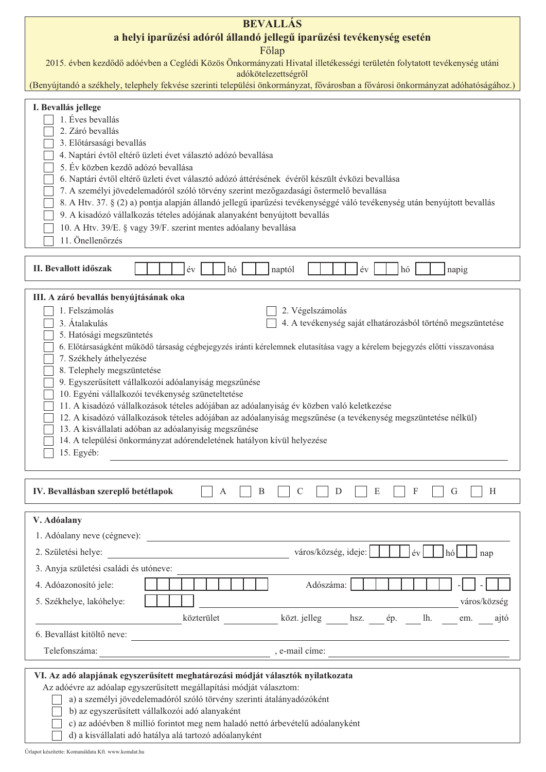| <b>BEVALLÁS</b>                                                                                                                                                                                                                                                                                                                                                                                                                                                                                                                                                                                                                                                                                                                                                                                                                                                                   |  |  |  |  |  |  |  |  |
|-----------------------------------------------------------------------------------------------------------------------------------------------------------------------------------------------------------------------------------------------------------------------------------------------------------------------------------------------------------------------------------------------------------------------------------------------------------------------------------------------------------------------------------------------------------------------------------------------------------------------------------------------------------------------------------------------------------------------------------------------------------------------------------------------------------------------------------------------------------------------------------|--|--|--|--|--|--|--|--|
| a helyi iparűzési adóról állandó jellegű iparűzési tevékenység esetén                                                                                                                                                                                                                                                                                                                                                                                                                                                                                                                                                                                                                                                                                                                                                                                                             |  |  |  |  |  |  |  |  |
| Főlap<br>2015. évben kezdődő adóévben a Ceglédi Közös Önkormányzati Hivatal illetékességi területén folytatott tevékenység utáni<br>adókötelezettségről                                                                                                                                                                                                                                                                                                                                                                                                                                                                                                                                                                                                                                                                                                                           |  |  |  |  |  |  |  |  |
| (Benyújtandó a székhely, telephely fekvése szerinti települési önkormányzat, fővárosban a fővárosi önkormányzat adóhatóságához.)                                                                                                                                                                                                                                                                                                                                                                                                                                                                                                                                                                                                                                                                                                                                                  |  |  |  |  |  |  |  |  |
| I. Bevallás jellege<br>1. Éves bevallás<br>2. Záró bevallás<br>3. Előtársasági bevallás<br>4. Naptári évtől eltérő üzleti évet választó adózó bevallása<br>5. Év közben kezdő adózó bevallása<br>6. Naptári évtől eltérő üzleti évet választó adózó áttérésének évéről készült évközi bevallása<br>7. A személyi jövedelemadóról szóló törvény szerint mezőgazdasági őstermelő bevallása<br>8. A Htv. 37. § (2) a) pontja alapján állandó jellegű iparűzési tevékenységgé váló tevékenység után benyújtott bevallás<br>9. A kisadózó vállalkozás tételes adójának alanyaként benyújtott bevallás<br>10. A Htv. 39/E. § vagy 39/F. szerint mentes adóalany bevallása<br>11. Önellenőrzés                                                                                                                                                                                           |  |  |  |  |  |  |  |  |
|                                                                                                                                                                                                                                                                                                                                                                                                                                                                                                                                                                                                                                                                                                                                                                                                                                                                                   |  |  |  |  |  |  |  |  |
| II. Bevallott időszak<br>év<br>hó<br>év<br>naptól<br>hó<br>napig                                                                                                                                                                                                                                                                                                                                                                                                                                                                                                                                                                                                                                                                                                                                                                                                                  |  |  |  |  |  |  |  |  |
| III. A záró bevallás benyújtásának oka                                                                                                                                                                                                                                                                                                                                                                                                                                                                                                                                                                                                                                                                                                                                                                                                                                            |  |  |  |  |  |  |  |  |
| 1. Felszámolás<br>2. Végelszámolás<br>3. Átalakulás<br>4. A tevékenység saját elhatározásból történő megszüntetése<br>5. Hatósági megszüntetés<br>6. Előtársaságként működő társaság cégbejegyzés iránti kérelemnek elutasítása vagy a kérelem bejegyzés előtti visszavonása<br>7. Székhely áthelyezése<br>8. Telephely megszüntetése<br>9. Egyszerűsített vállalkozói adóalanyiság megszűnése<br>10. Egyéni vállalkozói tevékenység szüneteltetése<br>11. A kisadózó vállalkozások tételes adójában az adóalanyiság év közben való keletkezése<br>12. A kisadózó vállalkozások tételes adójában az adóalanyiság megszűnése (a tevékenység megszüntetése nélkül)<br>13. A kisvállalati adóban az adóalanyiság megszűnése<br>14. A települési önkormányzat adórendeletének hatályon kívül helyezése<br>15. Egyéb:<br><u> 1989 - Johann Stein, mars an deutscher Stein († 1989)</u> |  |  |  |  |  |  |  |  |
| IV. Bevallásban szereplő betétlapok<br>$\mathbf{B}$<br>$\mathcal{C}$<br>$\mathbf D$<br>E<br>$\boldsymbol{\mathrm{F}}$<br>H<br>$\boldsymbol{A}$<br>G                                                                                                                                                                                                                                                                                                                                                                                                                                                                                                                                                                                                                                                                                                                               |  |  |  |  |  |  |  |  |
| V. Adóalany                                                                                                                                                                                                                                                                                                                                                                                                                                                                                                                                                                                                                                                                                                                                                                                                                                                                       |  |  |  |  |  |  |  |  |
|                                                                                                                                                                                                                                                                                                                                                                                                                                                                                                                                                                                                                                                                                                                                                                                                                                                                                   |  |  |  |  |  |  |  |  |
| $h\acute{o}$  <br>nap                                                                                                                                                                                                                                                                                                                                                                                                                                                                                                                                                                                                                                                                                                                                                                                                                                                             |  |  |  |  |  |  |  |  |
| 3. Anyja születési családi és utóneve:                                                                                                                                                                                                                                                                                                                                                                                                                                                                                                                                                                                                                                                                                                                                                                                                                                            |  |  |  |  |  |  |  |  |
| 4. Adóazonosító jele:<br>Adószáma:                                                                                                                                                                                                                                                                                                                                                                                                                                                                                                                                                                                                                                                                                                                                                                                                                                                |  |  |  |  |  |  |  |  |
| város/község<br>5. Székhelye, lakóhelye:<br><u> 1989 - Johann Stoff, deutscher Stoffen und der Stoffen und der Stoffen und der Stoffen und der Stoffen und der</u>                                                                                                                                                                                                                                                                                                                                                                                                                                                                                                                                                                                                                                                                                                                |  |  |  |  |  |  |  |  |
| közterület ____________ közt.jelleg _____ hsz. ____ ép. ____ lh. ____ em. ____ ajtó                                                                                                                                                                                                                                                                                                                                                                                                                                                                                                                                                                                                                                                                                                                                                                                               |  |  |  |  |  |  |  |  |
| 6. Bevallást kitöltő neve:                                                                                                                                                                                                                                                                                                                                                                                                                                                                                                                                                                                                                                                                                                                                                                                                                                                        |  |  |  |  |  |  |  |  |
|                                                                                                                                                                                                                                                                                                                                                                                                                                                                                                                                                                                                                                                                                                                                                                                                                                                                                   |  |  |  |  |  |  |  |  |
| VI. Az adó alapjának egyszerűsített meghatározási módját választók nyilatkozata<br>Az adóévre az adóalap egyszerűsített megállapítási módját választom:<br>a) a személyi jövedelemadóról szóló törvény szerinti átalányadózóként<br>b) az egyszerűsített vállalkozói adó alanyaként<br>c) az adóévben 8 millió forintot meg nem haladó nettó árbevételű adóalanyként<br>d) a kisvállalati adó hatálya alá tartozó adóalanyként                                                                                                                                                                                                                                                                                                                                                                                                                                                    |  |  |  |  |  |  |  |  |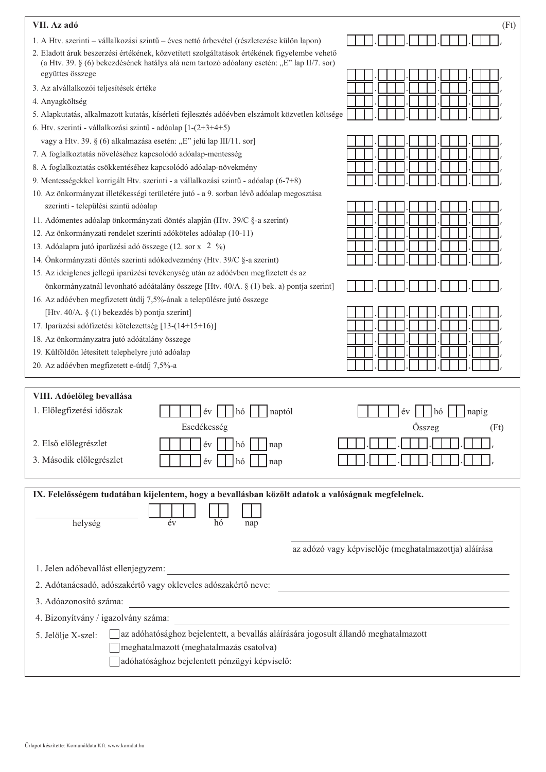| VII. Az adó                                                                                                                                                                                | (Ft)                                                  |
|--------------------------------------------------------------------------------------------------------------------------------------------------------------------------------------------|-------------------------------------------------------|
| 1. A Htv. szerinti – vállalkozási szintű – éves nettó árbevétel (részletezése külön lapon)                                                                                                 |                                                       |
| 2. Eladott áruk beszerzési értékének, közvetített szolgáltatások értékének figyelembe vehető<br>(a Htv. 39. § (6) bekezdésének hatálya alá nem tartozó adóalany esetén: "E" lap II/7. sor) |                                                       |
| együttes összege                                                                                                                                                                           |                                                       |
| 3. Az alvállalkozói teljesítések értéke                                                                                                                                                    |                                                       |
| 4. Anyagköltség                                                                                                                                                                            |                                                       |
| 5. Alapkutatás, alkalmazott kutatás, kísérleti fejlesztés adóévben elszámolt közvetlen költsége                                                                                            |                                                       |
| 6. Htv. szerinti - vállalkozási szintű - adóalap [1-(2+3+4+5)                                                                                                                              |                                                       |
| vagy a Htv. 39. § (6) alkalmazása esetén: "E" jelű lap III/11. sor]<br>7. A foglalkoztatás növeléséhez kapcsolódó adóalap-mentesség                                                        |                                                       |
|                                                                                                                                                                                            |                                                       |
| 8. A foglalkoztatás csökkentéséhez kapcsolódó adóalap-növekmény<br>9. Mentességekkel korrigált Htv. szerinti - a vállalkozási szintű - adóalap (6-7+8)                                     |                                                       |
|                                                                                                                                                                                            |                                                       |
| 10. Az önkormányzat illetékességi területére jutó - a 9. sorban lévő adóalap megosztása<br>szerinti - települési szintű adóalap                                                            |                                                       |
| 11. Adómentes adóalap önkormányzati döntés alapján (Htv. 39/C §-a szerint)                                                                                                                 |                                                       |
| 12. Az önkormányzati rendelet szerinti adóköteles adóalap (10-11)                                                                                                                          |                                                       |
| 13. Adóalapra jutó iparűzési adó összege (12. sor x 2 %)                                                                                                                                   |                                                       |
| 14. Önkormányzati döntés szerinti adókedvezmény (Htv. 39/C §-a szerint)                                                                                                                    |                                                       |
| 15. Az ideiglenes jellegű iparűzési tevékenység után az adóévben megfizetett és az                                                                                                         |                                                       |
| önkormányzatnál levonható adóátalány összege [Htv. 40/A. § (1) bek. a) pontja szerint]                                                                                                     |                                                       |
| 16. Az adóévben megfizetett útdíj 7,5%-ának a településre jutó összege                                                                                                                     |                                                       |
| [Htv. 40/A. § (1) bekezdés b) pontja szerint]                                                                                                                                              |                                                       |
| 17. Iparűzési adófizetési kötelezettség [13-(14+15+16)]                                                                                                                                    |                                                       |
| 18. Az önkormányzatra jutó adóátalány összege                                                                                                                                              |                                                       |
| 19. Külföldön létesített telephelyre jutó adóalap                                                                                                                                          |                                                       |
| 20. Az adóévben megfizetett e-útdíj 7,5%-a                                                                                                                                                 |                                                       |
|                                                                                                                                                                                            |                                                       |
| VIII. Adóelőleg bevallása                                                                                                                                                                  |                                                       |
| 1. Előlegfizetési időszak<br>hó<br>naptól<br>év                                                                                                                                            | év<br>napig<br>hó                                     |
| Esedékesség                                                                                                                                                                                | Összeg<br>(Ft)                                        |
| 2. Első előlegrészlet<br>év<br>hó<br>nap                                                                                                                                                   |                                                       |
|                                                                                                                                                                                            |                                                       |
| 3. Második előlegrészlet<br>év<br>hó<br>nap                                                                                                                                                |                                                       |
|                                                                                                                                                                                            |                                                       |
| IX. Felelősségem tudatában kijelentem, hogy a bevallásban közölt adatok a valóságnak megfelelnek.                                                                                          |                                                       |
|                                                                                                                                                                                            |                                                       |
| helység<br>év<br>hó<br>nap                                                                                                                                                                 |                                                       |
|                                                                                                                                                                                            |                                                       |
|                                                                                                                                                                                            | az adózó vagy képviselője (meghatalmazottja) aláírása |
| 1. Jelen adóbevallást ellenjegyzem:<br><u> 1980 - Andrea Barbara, amerikana amerikana amerikana amerikana amerikana amerikana amerikana amerikana amerika</u>                              |                                                       |
| 2. Adótanácsadó, adószakértő vagy okleveles adószakértő neve:                                                                                                                              |                                                       |
| 3. Adóazonosító száma:                                                                                                                                                                     |                                                       |
| 4. Bizonyítvány / igazolvány száma:                                                                                                                                                        |                                                       |
| az adóhatósághoz bejelentett, a bevallás aláírására jogosult állandó meghatalmazott                                                                                                        |                                                       |
| 5. Jelölje X-szel:<br>meghatalmazott (meghatalmazás csatolva)                                                                                                                              |                                                       |
| adóhatósághoz bejelentett pénzügyi képviselő:                                                                                                                                              |                                                       |
|                                                                                                                                                                                            |                                                       |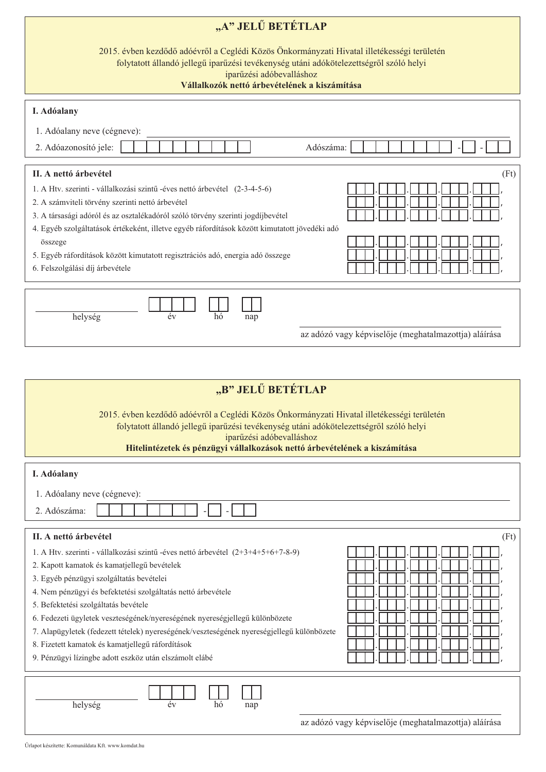| "A" JELŰ BETÉTLAP                                                                                                                                                                                                                                                                                                                                                                                                                                                                                                                                                             |  |  |  |  |  |  |  |  |  |
|-------------------------------------------------------------------------------------------------------------------------------------------------------------------------------------------------------------------------------------------------------------------------------------------------------------------------------------------------------------------------------------------------------------------------------------------------------------------------------------------------------------------------------------------------------------------------------|--|--|--|--|--|--|--|--|--|
| 2015. évben kezdődő adóévről a Ceglédi Közös Önkormányzati Hivatal illetékességi területén<br>folytatott állandó jellegű iparűzési tevékenység utáni adókötelezettségről szóló helyi<br>iparűzési adóbevalláshoz<br>Vállalkozók nettó árbevételének a kiszámítása                                                                                                                                                                                                                                                                                                             |  |  |  |  |  |  |  |  |  |
| I. Adóalany                                                                                                                                                                                                                                                                                                                                                                                                                                                                                                                                                                   |  |  |  |  |  |  |  |  |  |
| 1. Adóalany neve (cégneve):                                                                                                                                                                                                                                                                                                                                                                                                                                                                                                                                                   |  |  |  |  |  |  |  |  |  |
| 2. Adóazonosító jele:<br>Adószáma:                                                                                                                                                                                                                                                                                                                                                                                                                                                                                                                                            |  |  |  |  |  |  |  |  |  |
| II. A nettó árbevétel<br>(Ft)                                                                                                                                                                                                                                                                                                                                                                                                                                                                                                                                                 |  |  |  |  |  |  |  |  |  |
| 1. A Htv. szerinti - vállalkozási szintű -éves nettó árbevétel (2-3-4-5-6)<br>2. A számviteli törvény szerinti nettó árbevétel<br>3. A társasági adóról és az osztalékadóról szóló törvény szerinti jogdíjbevétel<br>4. Egyéb szolgáltatások értékeként, illetve egyéb ráfordítások között kimutatott jövedéki adó                                                                                                                                                                                                                                                            |  |  |  |  |  |  |  |  |  |
| összege<br>5. Egyéb ráfordítások között kimutatott regisztrációs adó, energia adó összege<br>6. Felszolgálási díj árbevétele                                                                                                                                                                                                                                                                                                                                                                                                                                                  |  |  |  |  |  |  |  |  |  |
| év<br>hó<br>helység<br>nap<br>az adózó vagy képviselője (meghatalmazottja) aláírása                                                                                                                                                                                                                                                                                                                                                                                                                                                                                           |  |  |  |  |  |  |  |  |  |
|                                                                                                                                                                                                                                                                                                                                                                                                                                                                                                                                                                               |  |  |  |  |  |  |  |  |  |
| "B" JELŰ BETÉTLAP                                                                                                                                                                                                                                                                                                                                                                                                                                                                                                                                                             |  |  |  |  |  |  |  |  |  |
| 2015. évben kezdődő adóévről a Ceglédi Közös Önkormányzati Hivatal illetékességi területén<br>folytatott állandó jellegű iparűzési tevékenység utáni adókötelezettségről szóló helyi<br>iparűzési adóbevalláshoz<br>Hitelintézetek és pénzügyi vállalkozások nettó árbevételének a kiszámítása                                                                                                                                                                                                                                                                                |  |  |  |  |  |  |  |  |  |
| I. Adóalany                                                                                                                                                                                                                                                                                                                                                                                                                                                                                                                                                                   |  |  |  |  |  |  |  |  |  |
|                                                                                                                                                                                                                                                                                                                                                                                                                                                                                                                                                                               |  |  |  |  |  |  |  |  |  |
| 1. Adóalany neve (cégneve):                                                                                                                                                                                                                                                                                                                                                                                                                                                                                                                                                   |  |  |  |  |  |  |  |  |  |
| 2. Adószáma:                                                                                                                                                                                                                                                                                                                                                                                                                                                                                                                                                                  |  |  |  |  |  |  |  |  |  |
| II. A nettó árbevétel<br>(Ft)                                                                                                                                                                                                                                                                                                                                                                                                                                                                                                                                                 |  |  |  |  |  |  |  |  |  |
| 1. A Htv. szerinti - vállalkozási szintű -éves nettó árbevétel (2+3+4+5+6+7-8-9)<br>2. Kapott kamatok és kamatjellegű bevételek<br>3. Egyéb pénzügyi szolgáltatás bevételei<br>4. Nem pénzügyi és befektetési szolgáltatás nettó árbevétele<br>5. Befektetési szolgáltatás bevétele<br>6. Fedezeti ügyletek veszteségének/nyereségének nyereségjellegű különbözete<br>7. Alapügyletek (fedezett tételek) nyereségének/veszteségének nyereségjellegű különbözete<br>8. Fizetett kamatok és kamatjellegű ráfordítások<br>9. Pénzügyi lízingbe adott eszköz után elszámolt elábé |  |  |  |  |  |  |  |  |  |
| helység<br>év<br>hó<br>nap<br>az adózó vagy képviselője (meghatalmazottja) aláírása                                                                                                                                                                                                                                                                                                                                                                                                                                                                                           |  |  |  |  |  |  |  |  |  |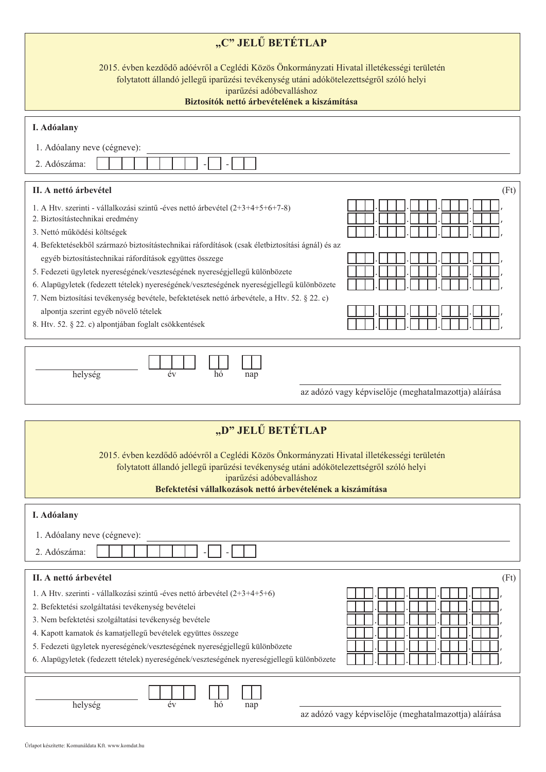| "C" JELŰ BETÉTLAP                                                                                                                                                                                                                                                               |  |  |  |  |  |  |  |  |
|---------------------------------------------------------------------------------------------------------------------------------------------------------------------------------------------------------------------------------------------------------------------------------|--|--|--|--|--|--|--|--|
| 2015. évben kezdődő adóévről a Ceglédi Közös Önkormányzati Hivatal illetékességi területén<br>folytatott állandó jellegű iparűzési tevékenység utáni adókötelezettségről szóló helyi<br>iparűzési adóbevalláshoz<br>Biztosítók nettő árbevételének a kiszámítása                |  |  |  |  |  |  |  |  |
|                                                                                                                                                                                                                                                                                 |  |  |  |  |  |  |  |  |
| I. Adóalany                                                                                                                                                                                                                                                                     |  |  |  |  |  |  |  |  |
| 1. Adóalany neve (cégneve):                                                                                                                                                                                                                                                     |  |  |  |  |  |  |  |  |
| 2. Adószáma:                                                                                                                                                                                                                                                                    |  |  |  |  |  |  |  |  |
| II. A nettó árbevétel<br>(Ft)                                                                                                                                                                                                                                                   |  |  |  |  |  |  |  |  |
| 1. A Htv. szerinti - vállalkozási szintű -éves nettó árbevétel (2+3+4+5+6+7-8)<br>2. Biztosítástechnikai eredmény<br>3. Nettó működési költségek                                                                                                                                |  |  |  |  |  |  |  |  |
| 4. Befektetésekből származó biztosítástechnikai ráfordítások (csak életbiztosítási ágnál) és az                                                                                                                                                                                 |  |  |  |  |  |  |  |  |
| egyéb biztosítástechnikai ráfordítások együttes összege                                                                                                                                                                                                                         |  |  |  |  |  |  |  |  |
| 5. Fedezeti ügyletek nyereségének/veszteségének nyereségjellegű különbözete<br>6. Alapügyletek (fedezett tételek) nyereségének/veszteségének nyereségjellegű különbözete                                                                                                        |  |  |  |  |  |  |  |  |
| 7. Nem biztosítási tevékenység bevétele, befektetések nettó árbevétele, a Htv. 52. § 22. c)                                                                                                                                                                                     |  |  |  |  |  |  |  |  |
| alpontja szerint egyéb növelő tételek                                                                                                                                                                                                                                           |  |  |  |  |  |  |  |  |
| 8. Htv. 52. § 22. c) alpontjában foglalt csökkentések                                                                                                                                                                                                                           |  |  |  |  |  |  |  |  |
|                                                                                                                                                                                                                                                                                 |  |  |  |  |  |  |  |  |
| év<br>hó<br>helység<br>nap                                                                                                                                                                                                                                                      |  |  |  |  |  |  |  |  |
| az adózó vagy képviselője (meghatalmazottja) aláírása                                                                                                                                                                                                                           |  |  |  |  |  |  |  |  |
|                                                                                                                                                                                                                                                                                 |  |  |  |  |  |  |  |  |
| "D" JELŰ BETÉTLAP                                                                                                                                                                                                                                                               |  |  |  |  |  |  |  |  |
| 2015. évben kezdődő adóévről a Ceglédi Közös Önkormányzati Hivatal illetékességi területén<br>folytatott állandó jellegű iparűzési tevékenység utáni adókötelezettségről szóló helyi<br>iparűzési adóbevalláshoz<br>Befektetési vállalkozások nettő árbevételének a kiszámítása |  |  |  |  |  |  |  |  |
| I. Adóalany                                                                                                                                                                                                                                                                     |  |  |  |  |  |  |  |  |
| 1. Adóalany neve (cégneve):                                                                                                                                                                                                                                                     |  |  |  |  |  |  |  |  |
| 2. Adószáma:                                                                                                                                                                                                                                                                    |  |  |  |  |  |  |  |  |
|                                                                                                                                                                                                                                                                                 |  |  |  |  |  |  |  |  |
| II. A nettó árbevétel<br>(Ft)                                                                                                                                                                                                                                                   |  |  |  |  |  |  |  |  |
| 1. A Htv. szerinti - vállalkozási szintű -éves nettó árbevétel (2+3+4+5+6)                                                                                                                                                                                                      |  |  |  |  |  |  |  |  |
| 2. Befektetési szolgáltatási tevékenység bevételei                                                                                                                                                                                                                              |  |  |  |  |  |  |  |  |
| 3. Nem befektetési szolgáltatási tevékenység bevétele                                                                                                                                                                                                                           |  |  |  |  |  |  |  |  |

- 5. Fedezeti ügyletek nyereségének/veszteségének nyereségjellegű különbözete
- 6. Alapügyletek (fedezett tételek) nyereségének/veszteségének nyereségjellegű különbözete  $\bar{\Gamma}$

| helység | ≏ | по | nap |
|---------|---|----|-----|
|         |   |    |     |

|  |  | az adózó vagy képviselője (meghatalmazottja) aláírása |  |
|--|--|-------------------------------------------------------|--|
|  |  |                                                       |  |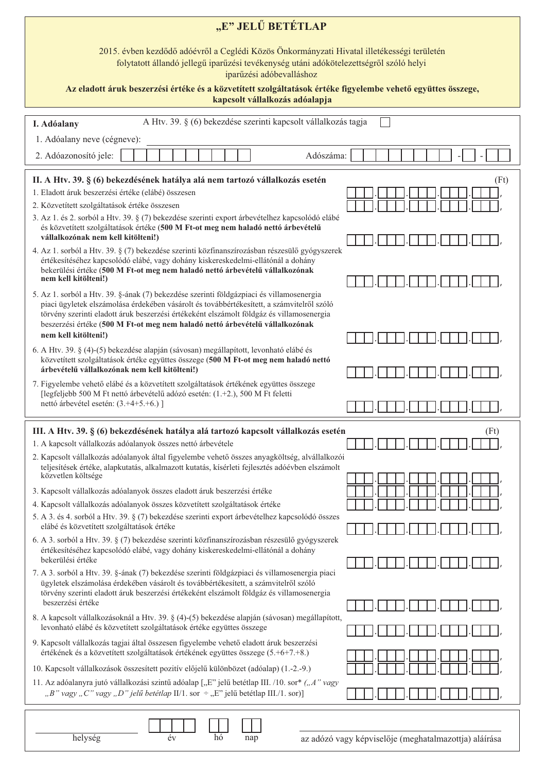| "E" JELŰ BETÉTLAP                                                                                                                                                                                                                                                                                                                                                                      |                                                       |  |  |  |  |  |  |  |  |
|----------------------------------------------------------------------------------------------------------------------------------------------------------------------------------------------------------------------------------------------------------------------------------------------------------------------------------------------------------------------------------------|-------------------------------------------------------|--|--|--|--|--|--|--|--|
| 2015. évben kezdődő adóévről a Ceglédi Közös Önkormányzati Hivatal illetékességi területén<br>folytatott állandó jellegű iparűzési tevékenység utáni adókötelezettségről szóló helyi<br>iparűzési adóbevalláshoz                                                                                                                                                                       |                                                       |  |  |  |  |  |  |  |  |
| Az eladott áruk beszerzési értéke és a közvetített szolgáltatások értéke figyelembe vehető együttes összege,<br>kapcsolt vállalkozás adóalapja                                                                                                                                                                                                                                         |                                                       |  |  |  |  |  |  |  |  |
| A Htv. 39. § (6) bekezdése szerinti kapcsolt vállalkozás tagja<br>I. Adóalany                                                                                                                                                                                                                                                                                                          |                                                       |  |  |  |  |  |  |  |  |
| 1. Adóalany neve (cégneve):                                                                                                                                                                                                                                                                                                                                                            |                                                       |  |  |  |  |  |  |  |  |
| 2. Adóazonosító jele:<br>Adószáma:                                                                                                                                                                                                                                                                                                                                                     |                                                       |  |  |  |  |  |  |  |  |
| II. A Htv. 39. § (6) bekezdésének hatálya alá nem tartozó vállalkozás esetén<br>1. Eladott áruk beszerzési értéke (elábé) összesen<br>2. Közvetített szolgáltatások értéke összesen<br>3. Az 1. és 2. sorból a Htv. 39. § (7) bekezdése szerinti export árbevételhez kapcsolódó elábé                                                                                                  | (Ft)                                                  |  |  |  |  |  |  |  |  |
| és közvetített szolgáltatások értéke (500 M Ft-ot meg nem haladó nettó árbevételű<br>vállalkozónak nem kell kitölteni!)                                                                                                                                                                                                                                                                |                                                       |  |  |  |  |  |  |  |  |
| 4. Az 1. sorból a Htv. 39. § (7) bekezdése szerinti közfinanszírozásban részesülő gyógyszerek<br>értékesítéséhez kapcsolódó elábé, vagy dohány kiskereskedelmi-ellátónál a dohány<br>bekerülési értéke (500 M Ft-ot meg nem haladó nettó árbevételű vállalkozónak<br>nem kell kitölteni!)<br>5. Az 1. sorból a Htv. 39. §-ának (7) bekezdése szerinti földgázpiaci és villamosenergia  |                                                       |  |  |  |  |  |  |  |  |
| piaci ügyletek elszámolása érdekében vásárolt és továbbértékesített, a számvitelről szóló<br>törvény szerinti eladott áruk beszerzési értékeként elszámolt földgáz és villamosenergia<br>beszerzési értéke (500 M Ft-ot meg nem haladó nettó árbevételű vállalkozónak<br>nem kell kitölteni!)<br>6. A Htv. 39. § (4)-(5) bekezdése alapján (sávosan) megállapított, levonható elábé és |                                                       |  |  |  |  |  |  |  |  |
| közvetített szolgáltatások értéke együttes összege (500 M Ft-ot meg nem haladó nettó<br>árbevételű vállalkozónak nem kell kitölteni!)                                                                                                                                                                                                                                                  |                                                       |  |  |  |  |  |  |  |  |
| 7. Figyelembe vehető elábé és a közvetített szolgáltatások értékének együttes összege<br>[legfeljebb 500 M Ft nettó árbevételű adózó esetén: (1.+2.), 500 M Ft feletti<br>nettó árbevétel esetén: (3.+4+5.+6.)]                                                                                                                                                                        |                                                       |  |  |  |  |  |  |  |  |
| III. A Htv. 39. § (6) bekezdésének hatálya alá tartozó kapcsolt vállalkozás esetén                                                                                                                                                                                                                                                                                                     | (Ft)                                                  |  |  |  |  |  |  |  |  |
| 1. A kapcsolt vállalkozás adóalanyok összes nettó árbevétele<br>2. Kapcsolt vállalkozás adóalanyok által figyelembe vehető összes anyagköltség, alvállalkozói                                                                                                                                                                                                                          |                                                       |  |  |  |  |  |  |  |  |
| teljesítések értéke, alapkutatás, alkalmazott kutatás, kísérleti fejlesztés adóévben elszámolt<br>közvetlen költsége<br>3. Kapcsolt vállalkozás adóalanyok összes eladott áruk beszerzési értéke                                                                                                                                                                                       |                                                       |  |  |  |  |  |  |  |  |
| 4. Kapcsolt vállalkozás adóalanyok összes közvetített szolgáltatások értéke                                                                                                                                                                                                                                                                                                            |                                                       |  |  |  |  |  |  |  |  |
| 5. A 3. és 4. sorból a Htv. 39. § (7) bekezdése szerinti export árbevételhez kapcsolódó összes<br>elábé és közvetített szolgáltatások értéke                                                                                                                                                                                                                                           |                                                       |  |  |  |  |  |  |  |  |
| 6. A 3. sorból a Htv. 39. § (7) bekezdése szerinti közfinanszírozásban részesülő gyógyszerek<br>értékesítéséhez kapcsolódó elábé, vagy dohány kiskereskedelmi-ellátónál a dohány<br>bekerülési értéke                                                                                                                                                                                  |                                                       |  |  |  |  |  |  |  |  |
| 7. A 3. sorból a Htv. 39. §-ának (7) bekezdése szerinti földgázpiaci és villamosenergia piaci<br>ügyletek elszámolása érdekében vásárolt és továbbértékesített, a számvitelről szóló<br>törvény szerinti eladott áruk beszerzési értékeként elszámolt földgáz és villamosenergia<br>beszerzési értéke                                                                                  |                                                       |  |  |  |  |  |  |  |  |
| 8. A kapcsolt vállalkozásoknál a Htv. 39. § (4)-(5) bekezdése alapján (sávosan) megállapított,                                                                                                                                                                                                                                                                                         |                                                       |  |  |  |  |  |  |  |  |
| levonható elábé és közvetített szolgáltatások értéke együttes összege<br>9. Kapcsolt vállalkozás tagjai által összesen figyelembe vehető eladott áruk beszerzési<br>értékének és a közvetített szolgáltatások értékének együttes összege (5.+6+7.+8.)                                                                                                                                  |                                                       |  |  |  |  |  |  |  |  |
| 10. Kapcsolt vállalkozások összesített pozitív előjelű különbözet (adóalap) (1.-2.-9.)                                                                                                                                                                                                                                                                                                 |                                                       |  |  |  |  |  |  |  |  |
| 11. Az adóalanyra jutó vállalkozási szintű adóalap ["E" jelű betétlap III. /10. sor* ("A" vagy<br>"B" vagy "C" vagy "D" jelű betétlap II/1. sor $\div$ "E" jelű betétlap III./1. sor)]                                                                                                                                                                                                 |                                                       |  |  |  |  |  |  |  |  |
| év<br>helység<br>hó<br>nap                                                                                                                                                                                                                                                                                                                                                             | az adózó vagy képviselője (meghatalmazottja) aláírása |  |  |  |  |  |  |  |  |

az adózó vagy képviselője (meghatalmazottja) aláírása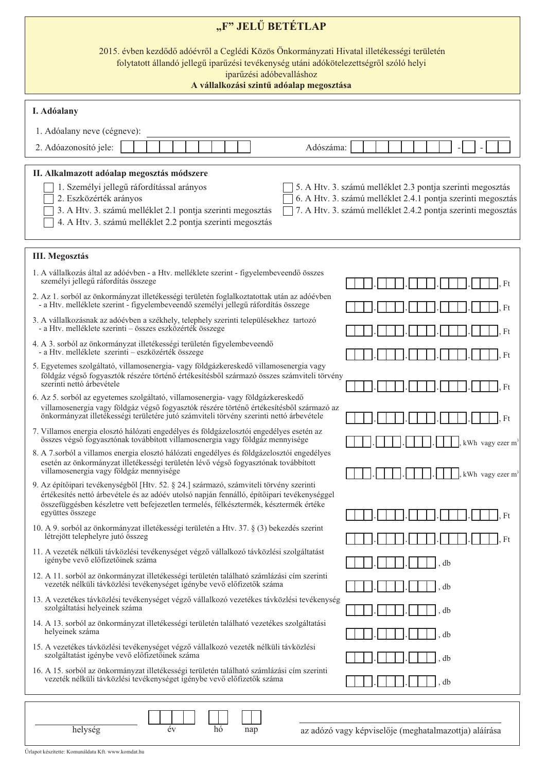| "F" JELŰ BETÉTLAP                                                                                                                                                                                                                                                                                                                                                                             |                                                       |  |  |  |  |  |  |  |  |  |
|-----------------------------------------------------------------------------------------------------------------------------------------------------------------------------------------------------------------------------------------------------------------------------------------------------------------------------------------------------------------------------------------------|-------------------------------------------------------|--|--|--|--|--|--|--|--|--|
| 2015. évben kezdődő adóévről a Ceglédi Közös Önkormányzati Hivatal illetékességi területén<br>folytatott állandó jellegű iparűzési tevékenység utáni adókötelezettségről szóló helyi<br>iparűzési adóbevalláshoz<br>A vállalkozási szintű adóalap megosztása                                                                                                                                  |                                                       |  |  |  |  |  |  |  |  |  |
| I. Adóalany                                                                                                                                                                                                                                                                                                                                                                                   |                                                       |  |  |  |  |  |  |  |  |  |
| 1. Adóalany neve (cégneve):                                                                                                                                                                                                                                                                                                                                                                   |                                                       |  |  |  |  |  |  |  |  |  |
| 2. Adóazonosító jele:<br>Adószáma:                                                                                                                                                                                                                                                                                                                                                            |                                                       |  |  |  |  |  |  |  |  |  |
| II. Alkalmazott adóalap megosztás módszere                                                                                                                                                                                                                                                                                                                                                    |                                                       |  |  |  |  |  |  |  |  |  |
| 1. Személyi jellegű ráfordítással arányos<br>5. A Htv. 3. számú melléklet 2.3 pontja szerinti megosztás<br>6. A Htv. 3. számú melléklet 2.4.1 pontja szerinti megosztás<br>2. Eszközérték arányos<br>3. A Htv. 3. számú melléklet 2.1 pontja szerinti megosztás<br>7. A Htv. 3. számú melléklet 2.4.2 pontja szerinti megosztás<br>4. A Htv. 3. számú melléklet 2.2 pontja szerinti megosztás |                                                       |  |  |  |  |  |  |  |  |  |
| <b>III. Megosztás</b>                                                                                                                                                                                                                                                                                                                                                                         |                                                       |  |  |  |  |  |  |  |  |  |
| 1. A vállalkozás által az adóévben - a Htv. melléklete szerint - figyelembeveendő összes<br>személyi jellegű ráfordítás összege                                                                                                                                                                                                                                                               |                                                       |  |  |  |  |  |  |  |  |  |
| 2. Az 1. sorból az önkormányzat illetékességi területén foglalkoztatottak után az adóévben<br>- a Htv. melléklete szerint - figyelembeveendő személyi jellegű ráfordítás összege                                                                                                                                                                                                              | Ft                                                    |  |  |  |  |  |  |  |  |  |
| 3. A vállalkozásnak az adóévben a székhely, telephely szerinti településekhez tartozó<br>- a Htv. melléklete szerinti – összes eszközérték összege                                                                                                                                                                                                                                            | Ft                                                    |  |  |  |  |  |  |  |  |  |
| 4. A 3. sorból az önkormányzat illetékességi területén figyelembeveendő<br>- a Htv. melléklete szerinti – eszközérték összege                                                                                                                                                                                                                                                                 | Ft                                                    |  |  |  |  |  |  |  |  |  |
| 5. Egyetemes szolgáltató, villamosenergia- vagy földgázkereskedő villamosenergia vagy<br>földgáz végső fogyasztók részére történő értékesítésből származó összes számviteli törvény<br>szerinti nettó árbevétele                                                                                                                                                                              | Ft                                                    |  |  |  |  |  |  |  |  |  |
| 6. Az 5. sorból az egyetemes szolgáltató, villamosenergia- vagy földgázkereskedő<br>villamosenergia vagy földgáz végső fogyasztók részére történő értékesítésből származó az<br>önkormányzat illetékességi területére jutó számviteli törvény szerinti nettó árbevétele                                                                                                                       | Ft                                                    |  |  |  |  |  |  |  |  |  |
| 7. Villamos energia elosztó hálózati engedélyes és földgázelosztói engedélyes esetén az<br>összes végső fogyasztónak továbbított villamosenergia vagy földgáz mennyisége                                                                                                                                                                                                                      | kWh vagy ezer m <sup>3</sup>                          |  |  |  |  |  |  |  |  |  |
| 8. A 7.sorból a villamos energia elosztó hálózati engedélyes és földgázelosztói engedélyes<br>esetén az önkormányzat illetékességi területén lévő végső fogyasztónak továbbított<br>villamosenergia vagy földgáz mennyisége                                                                                                                                                                   | kWh vagy ezer m <sup>3</sup>                          |  |  |  |  |  |  |  |  |  |
| 9. Az építőipari tevékenységből [Htv. 52. § 24.] származó, számviteli törvény szerinti<br>értékesítés nettó árbevétele és az adóév utolsó napján fennálló, építőipari tevékenységgel<br>összefüggésben készletre vett befejezetlen termelés, félkésztermék, késztermék értéke                                                                                                                 |                                                       |  |  |  |  |  |  |  |  |  |
| együttes összege<br>10. A 9. sorból az önkormányzat illetékességi területén a Htv. 37. § (3) bekezdés szerint                                                                                                                                                                                                                                                                                 | Ft                                                    |  |  |  |  |  |  |  |  |  |
| létrejött telephelyre jutó összeg                                                                                                                                                                                                                                                                                                                                                             | Ft                                                    |  |  |  |  |  |  |  |  |  |
| 11. A vezeték nélküli távközlési tevékenységet végző vállalkozó távközlési szolgáltatást<br>igénybe vevő előfizetőinek száma                                                                                                                                                                                                                                                                  | db                                                    |  |  |  |  |  |  |  |  |  |
| 12. A 11. sorból az önkormányzat illetékességi területén található számlázási cím szerinti<br>vezeték nélküli távközlési tevékenységet igénybe vevő előfizetők száma                                                                                                                                                                                                                          | db                                                    |  |  |  |  |  |  |  |  |  |
| 13. A vezetékes távközlési tevékenységet végző vállalkozó vezetékes távközlési tevékenység<br>szolgáltatási helyeinek száma                                                                                                                                                                                                                                                                   | db                                                    |  |  |  |  |  |  |  |  |  |
| 14. A 13. sorból az önkormányzat illetékességi területén található vezetékes szolgáltatási<br>helyeinek száma                                                                                                                                                                                                                                                                                 | db                                                    |  |  |  |  |  |  |  |  |  |
| 15. A vezetékes távközlési tevékenységet végző vállalkozó vezeték nélküli távközlési<br>szolgáltatást igénybe vevő előfizetőinek száma                                                                                                                                                                                                                                                        | db                                                    |  |  |  |  |  |  |  |  |  |
| 16. A 15. sorból az önkormányzat illetékességi területén található számlázási cím szerinti<br>vezeték nélküli távközlési tevékenységet igénybe vevő előfizetők száma                                                                                                                                                                                                                          | db                                                    |  |  |  |  |  |  |  |  |  |
| helység<br>év<br>hó<br>nap                                                                                                                                                                                                                                                                                                                                                                    | az adózó vagy képviselője (meghatalmazottja) aláírása |  |  |  |  |  |  |  |  |  |

Űrlapot készítette: Komunáldata Kft. www.komdat.hu

az adózó vagy képviselője (meghatalmazottja) aláírása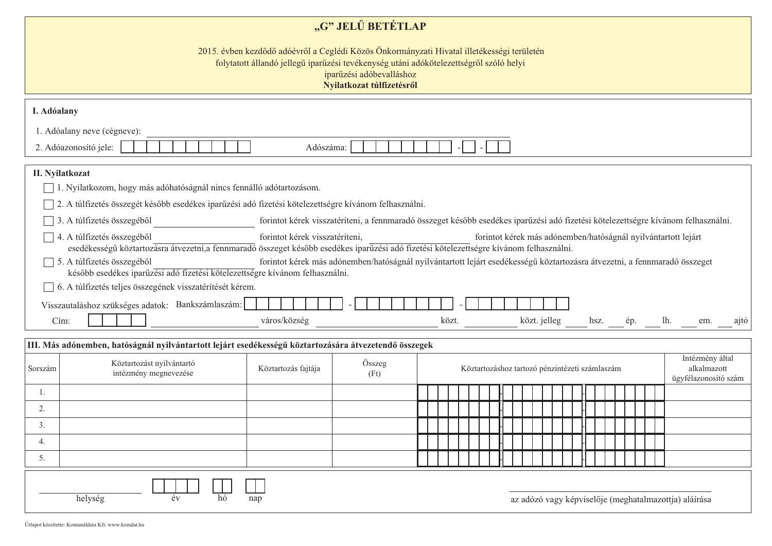| "G" JELŰ BETÉTLAP                                                                                                                                                                                                                             |                                                                                                                                                                                                                                                                                                                                                                                                                                                                                                                                                                                                                                      |                     |                                                                                                                                   |  |       |                                                |  |  |              |  |  |  |              |  |                                                       |                                |  |      |
|-----------------------------------------------------------------------------------------------------------------------------------------------------------------------------------------------------------------------------------------------|--------------------------------------------------------------------------------------------------------------------------------------------------------------------------------------------------------------------------------------------------------------------------------------------------------------------------------------------------------------------------------------------------------------------------------------------------------------------------------------------------------------------------------------------------------------------------------------------------------------------------------------|---------------------|-----------------------------------------------------------------------------------------------------------------------------------|--|-------|------------------------------------------------|--|--|--------------|--|--|--|--------------|--|-------------------------------------------------------|--------------------------------|--|------|
| 2015. évben kezdődő adóévről a Ceglédi Közös Önkormányzati Hivatal illetékességi területén<br>folytatott állandó jellegű iparűzési tevékenység utáni adókötelezettségről szóló helyi<br>iparűzési adóbevalláshoz<br>Nyilatkozat túlfizetésről |                                                                                                                                                                                                                                                                                                                                                                                                                                                                                                                                                                                                                                      |                     |                                                                                                                                   |  |       |                                                |  |  |              |  |  |  |              |  |                                                       |                                |  |      |
|                                                                                                                                                                                                                                               | I. Adóalany                                                                                                                                                                                                                                                                                                                                                                                                                                                                                                                                                                                                                          |                     |                                                                                                                                   |  |       |                                                |  |  |              |  |  |  |              |  |                                                       |                                |  |      |
| 1. Adóalany neve (cégneve):<br>2. Adóazonosító jele:<br>Adószáma:                                                                                                                                                                             |                                                                                                                                                                                                                                                                                                                                                                                                                                                                                                                                                                                                                                      |                     |                                                                                                                                   |  |       |                                                |  |  |              |  |  |  |              |  |                                                       |                                |  |      |
|                                                                                                                                                                                                                                               | II. Nyilatkozat<br>1. Nyilatkozom, hogy más adóhatóságnál nincs fennálló adótartozásom.<br>2. A túlfizetés összegét később esedékes iparűzési adó fizetési kötelezettségre kívánom felhasználni.                                                                                                                                                                                                                                                                                                                                                                                                                                     |                     |                                                                                                                                   |  |       |                                                |  |  |              |  |  |  |              |  |                                                       |                                |  |      |
|                                                                                                                                                                                                                                               | 3. A túlfizetés összegéből                                                                                                                                                                                                                                                                                                                                                                                                                                                                                                                                                                                                           |                     | forintot kérek visszatéríteni, a fennmaradó összeget később esedékes iparűzési adó fizetési kötelezettségre kívánom felhasználni. |  |       |                                                |  |  |              |  |  |  |              |  |                                                       |                                |  |      |
|                                                                                                                                                                                                                                               | forintot kérek visszatéríteni,<br>4. A túlfizetés összegéből<br>forintot kérek más adónemben/hatóságnál nyilvántartott lejárt<br>esedékességű köztartozásra átvezetni,a fennmaradó összeget később esedékes iparűzési adó fizetési kötelezettségre kívánom felhasználni.<br>5. A túlfizetés összegéből<br>forintot kérek más adónemben/hatóságnál nyilvántartott lejárt esedékességű köztartozásra átvezetni, a fennmaradó összeget<br>később esedékes iparűzési adó fizetési kötelezettségre kívánom felhasználni.<br>6. A túlfizetés teljes összegének visszatérítését kérem.<br>Visszautaláshoz szükséges adatok: Bankszámlaszám: |                     |                                                                                                                                   |  |       |                                                |  |  |              |  |  |  |              |  |                                                       |                                |  |      |
|                                                                                                                                                                                                                                               | Cím:                                                                                                                                                                                                                                                                                                                                                                                                                                                                                                                                                                                                                                 | város/község        |                                                                                                                                   |  | közt. |                                                |  |  | közt. jelleg |  |  |  | hsz. ép. lh. |  |                                                       | em.                            |  | ajtó |
|                                                                                                                                                                                                                                               | III. Más adónemben, hatóságnál nyilvántartott lejárt esedékességű köztartozására átvezetendő összegek                                                                                                                                                                                                                                                                                                                                                                                                                                                                                                                                |                     |                                                                                                                                   |  |       |                                                |  |  |              |  |  |  |              |  |                                                       |                                |  |      |
| Sorszám                                                                                                                                                                                                                                       | Köztartozást nyilvántartó<br>intézmény megnevezése                                                                                                                                                                                                                                                                                                                                                                                                                                                                                                                                                                                   | Köztartozás fajtája | Összeg<br>(Ft)                                                                                                                    |  |       | Köztartozáshoz tartozó pénzintézeti számlaszám |  |  |              |  |  |  |              |  | ügyfélazonosító szám                                  | Intézmény által<br>alkalmazott |  |      |
| 1.                                                                                                                                                                                                                                            |                                                                                                                                                                                                                                                                                                                                                                                                                                                                                                                                                                                                                                      |                     |                                                                                                                                   |  |       |                                                |  |  |              |  |  |  |              |  |                                                       |                                |  |      |
| 2.                                                                                                                                                                                                                                            |                                                                                                                                                                                                                                                                                                                                                                                                                                                                                                                                                                                                                                      |                     |                                                                                                                                   |  |       |                                                |  |  |              |  |  |  |              |  |                                                       |                                |  |      |
| 3.                                                                                                                                                                                                                                            |                                                                                                                                                                                                                                                                                                                                                                                                                                                                                                                                                                                                                                      |                     |                                                                                                                                   |  |       |                                                |  |  |              |  |  |  |              |  |                                                       |                                |  |      |
| 4.<br>5.                                                                                                                                                                                                                                      |                                                                                                                                                                                                                                                                                                                                                                                                                                                                                                                                                                                                                                      |                     |                                                                                                                                   |  |       |                                                |  |  |              |  |  |  |              |  |                                                       |                                |  |      |
|                                                                                                                                                                                                                                               |                                                                                                                                                                                                                                                                                                                                                                                                                                                                                                                                                                                                                                      |                     |                                                                                                                                   |  |       |                                                |  |  |              |  |  |  |              |  |                                                       |                                |  |      |
|                                                                                                                                                                                                                                               | helység<br>hó<br>év                                                                                                                                                                                                                                                                                                                                                                                                                                                                                                                                                                                                                  | $\pm$<br>nap        |                                                                                                                                   |  |       |                                                |  |  |              |  |  |  |              |  | az adózó vagy képviselője (meghatalmazottja) aláírása |                                |  |      |